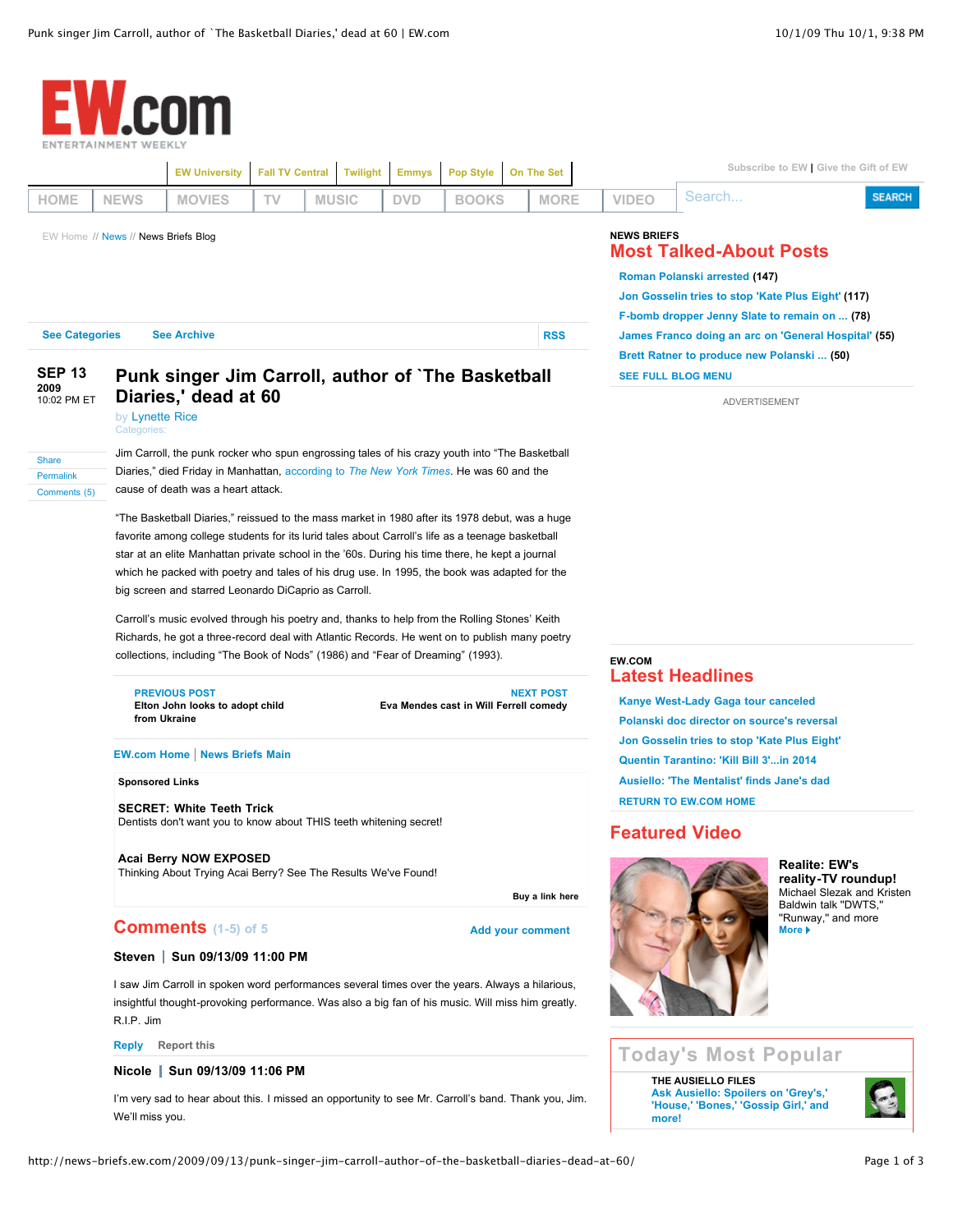| NTERTAINMENT WEEKLY                                                                              |                                |                                                                                                                                                                                                                                                                                                                                                                                                                                                                                                                                                                                                                                                  |    |              |  |                                                                   |                             |                                                                                       |                                                                                                                                                                                                                                                      |                                                                                      |                                                                                                                                                                                     |                                                  |  |
|--------------------------------------------------------------------------------------------------|--------------------------------|--------------------------------------------------------------------------------------------------------------------------------------------------------------------------------------------------------------------------------------------------------------------------------------------------------------------------------------------------------------------------------------------------------------------------------------------------------------------------------------------------------------------------------------------------------------------------------------------------------------------------------------------------|----|--------------|--|-------------------------------------------------------------------|-----------------------------|---------------------------------------------------------------------------------------|------------------------------------------------------------------------------------------------------------------------------------------------------------------------------------------------------------------------------------------------------|--------------------------------------------------------------------------------------|-------------------------------------------------------------------------------------------------------------------------------------------------------------------------------------|--------------------------------------------------|--|
|                                                                                                  |                                | <b>EW University</b><br><b>Fall TV Central</b>                                                                                                                                                                                                                                                                                                                                                                                                                                                                                                                                                                                                   |    |              |  | On The Set<br><b>Twilight</b><br><b>Emmys</b><br><b>Pop Style</b> |                             |                                                                                       |                                                                                                                                                                                                                                                      | Subscribe to EW   Give the Gift of EW                                                |                                                                                                                                                                                     |                                                  |  |
| HOME                                                                                             | <b>NEWS</b>                    | <b>MOVIES</b>                                                                                                                                                                                                                                                                                                                                                                                                                                                                                                                                                                                                                                    | TV | <b>MUSIC</b> |  | <b>DVD</b>                                                        | <b>BOOKS</b>                |                                                                                       | <b>MORE</b>                                                                                                                                                                                                                                          | <b>VIDEO</b>                                                                         | Search                                                                                                                                                                              | <b>SEARCH</b>                                    |  |
| EW Home // News // News Briefs Blog<br><b>See Categories</b><br><b>See Archive</b><br><b>RSS</b> |                                |                                                                                                                                                                                                                                                                                                                                                                                                                                                                                                                                                                                                                                                  |    |              |  |                                                                   |                             |                                                                                       | <b>NEWS BRIEFS</b><br><b>Most Talked-About Posts</b><br>Roman Polanski arrested (147)<br>Jon Gosselin tries to stop 'Kate Plus Eight' (117)<br>F-bomb dropper Jenny Slate to remain on  (78)<br>James Franco doing an arc on 'General Hospital' (55) |                                                                                      |                                                                                                                                                                                     |                                                  |  |
| <b>SEP 13</b><br>2009<br>10:02 PM ET<br><b>Share</b><br><b>Permalink</b><br>Comments (5)         | Categories:                    | Punk singer Jim Carroll, author of `The Basketball<br>Diaries,' dead at 60<br>by Lynette Rice<br>Jim Carroll, the punk rocker who spun engrossing tales of his crazy youth into "The Basketball<br>Diaries," died Friday in Manhattan, according to <i>The New York Times</i> . He was 60 and the<br>cause of death was a heart attack.<br>"The Basketball Diaries," reissued to the mass market in 1980 after its 1978 debut, was a huge<br>favorite among college students for its lurid tales about Carroll's life as a teenage basketball<br>star at an elite Manhattan private school in the '60s. During his time there, he kept a journal |    |              |  |                                                                   |                             |                                                                                       |                                                                                                                                                                                                                                                      |                                                                                      | Brett Ratner to produce new Polanski  (50)<br><b>SEE FULL BLOG MENU</b><br>ADVERTISEMENT                                                                                            |                                                  |  |
|                                                                                                  |                                | which he packed with poetry and tales of his drug use. In 1995, the book was adapted for the<br>big screen and starred Leonardo DiCaprio as Carroll.<br>Carroll's music evolved through his poetry and, thanks to help from the Rolling Stones' Keith<br>Richards, he got a three-record deal with Atlantic Records. He went on to publish many poetry<br>collections, including "The Book of Nods" (1986) and "Fear of Dreaming" (1993).<br><b>PREVIOUS POST</b><br><b>NEXT POST</b><br>Eva Mendes cast in Will Ferrell comedy<br>Elton John looks to adopt child<br>from Ukraine<br><b>EW.com Home   News Briefs Main</b>                      |    |              |  |                                                                   |                             |                                                                                       |                                                                                                                                                                                                                                                      |                                                                                      | <b>EW.COM</b><br><b>Latest Headlines</b><br><b>Kanye West-Lady Gaga tour canceled</b><br>Polanski doc director on source's reversal<br>Jon Gosselin tries to stop 'Kate Plus Eight' |                                                  |  |
|                                                                                                  | <b>Sponsored Links</b>         |                                                                                                                                                                                                                                                                                                                                                                                                                                                                                                                                                                                                                                                  |    |              |  |                                                                   |                             | Quentin Tarantino: 'Kill Bill 3'in 2014<br>Ausiello: 'The Mentalist' finds Jane's dad |                                                                                                                                                                                                                                                      |                                                                                      |                                                                                                                                                                                     |                                                  |  |
|                                                                                                  |                                | <b>SECRET: White Teeth Trick</b><br>Dentists don't want you to know about THIS teeth whitening secret!<br>Acai Berry NOW EXPOSED<br>Thinking About Trying Acai Berry? See The Results We've Found!<br>Buy a link here                                                                                                                                                                                                                                                                                                                                                                                                                            |    |              |  |                                                                   |                             |                                                                                       |                                                                                                                                                                                                                                                      |                                                                                      | <b>RETURN TO EW.COM HOME</b><br><b>Featured Video</b><br><b>Realite: EW's</b><br>reality-TV roundup!<br>Michael Slezak and Kristen<br>Baldwin talk "DWTS,"                          |                                                  |  |
|                                                                                                  |                                | <b>Comments</b> (1-5) of 5<br><b>Add your comment</b>                                                                                                                                                                                                                                                                                                                                                                                                                                                                                                                                                                                            |    |              |  |                                                                   |                             |                                                                                       |                                                                                                                                                                                                                                                      |                                                                                      |                                                                                                                                                                                     | "Runway," and more<br>More $\blacktriangleright$ |  |
|                                                                                                  | Steven   Sun 09/13/09 11:00 PM |                                                                                                                                                                                                                                                                                                                                                                                                                                                                                                                                                                                                                                                  |    |              |  |                                                                   |                             |                                                                                       |                                                                                                                                                                                                                                                      |                                                                                      |                                                                                                                                                                                     |                                                  |  |
|                                                                                                  | R.I.P. Jim                     | I saw Jim Carroll in spoken word performances several times over the years. Always a hilarious,<br>insightful thought-provoking performance. Was also a big fan of his music. Will miss him greatly.                                                                                                                                                                                                                                                                                                                                                                                                                                             |    |              |  |                                                                   |                             |                                                                                       |                                                                                                                                                                                                                                                      |                                                                                      |                                                                                                                                                                                     |                                                  |  |
|                                                                                                  | <b>Reply</b> Report this       |                                                                                                                                                                                                                                                                                                                                                                                                                                                                                                                                                                                                                                                  |    |              |  |                                                                   | <b>Today's Most Popular</b> |                                                                                       |                                                                                                                                                                                                                                                      |                                                                                      |                                                                                                                                                                                     |                                                  |  |
|                                                                                                  |                                | Nicole   Sun 09/13/09 11:06 PM                                                                                                                                                                                                                                                                                                                                                                                                                                                                                                                                                                                                                   |    |              |  |                                                                   |                             |                                                                                       |                                                                                                                                                                                                                                                      |                                                                                      | THE AUSIELLO FILES                                                                                                                                                                  |                                                  |  |
|                                                                                                  | We'll miss you.                | I'm very sad to hear about this. I missed an opportunity to see Mr. Carroll's band. Thank you, Jim.                                                                                                                                                                                                                                                                                                                                                                                                                                                                                                                                              |    |              |  |                                                                   |                             |                                                                                       |                                                                                                                                                                                                                                                      | Ask Ausiello: Spoilers on 'Grey's,'<br>'House,' 'Bones,' 'Gossip Girl,' and<br>more! |                                                                                                                                                                                     |                                                  |  |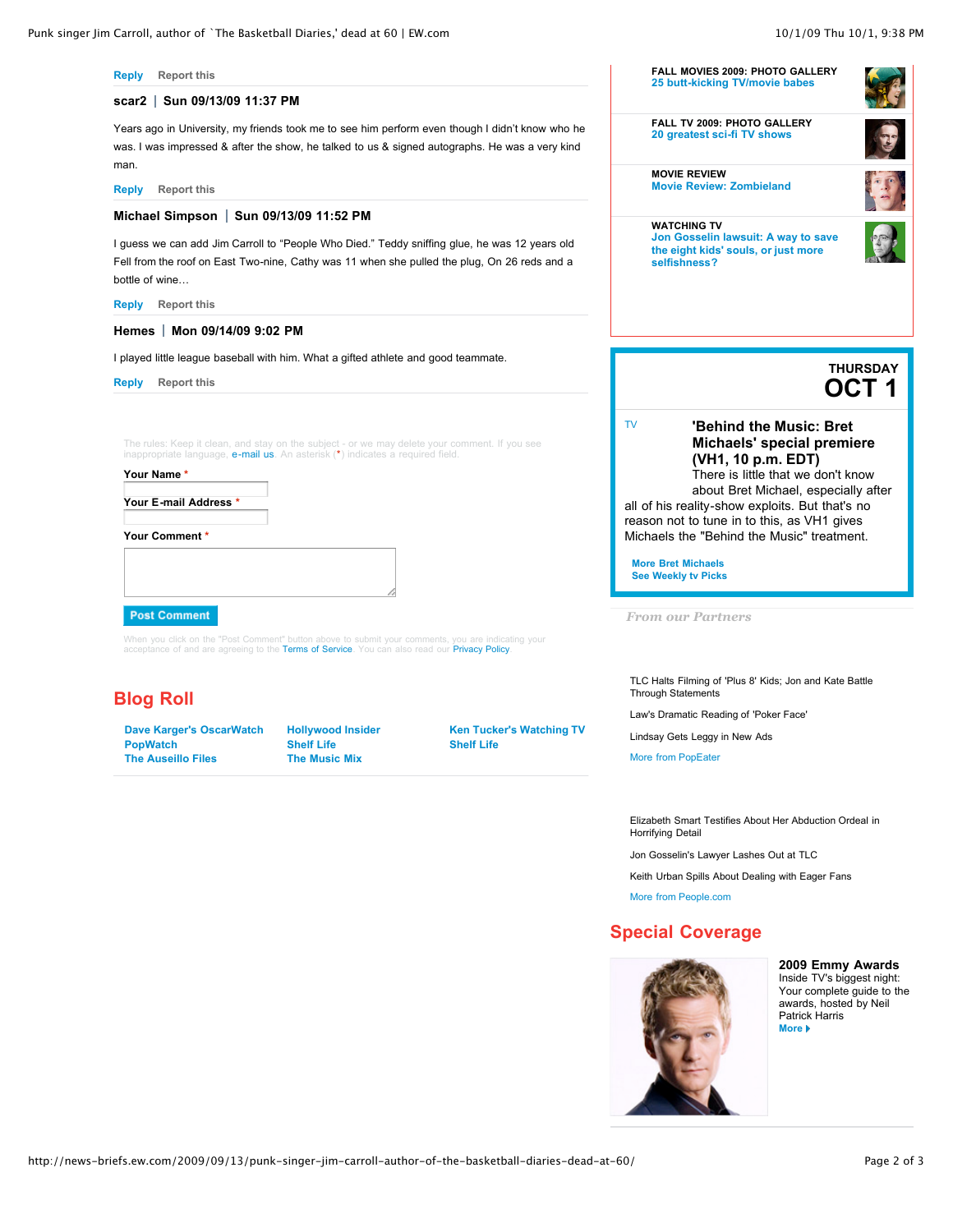

**[Jon Gosselin lawsuit: A way to save](http://watching-tv.ew.com/2009/10/01/jon-gosselin-lawsuit-kate-plus-8/) the eight kids' souls, or just more**

**MOVIE REVIEW [Movie Review: Zombieland](http://www.ew.com/ew/article/0,,20309076,00.html)**

**selfishness?**

**WATCHING TV**



**OCT 1 THURSDAY**

[TV](http://ew.com/ew/picks/tv/0,,,00.html)

**[Michaels' special premiere](http://popwatch.ew.com/2009/06/08/bret-michaels-tonys/) (VH1, 10 p.m. EDT)** There is little that we don't know

**'Behind the Music: Bret**

about Bret Michael, especially after all of his reality-show exploits. But that's no reason not to tune in to this, as VH1 gives Michaels the "Behind the Music" treatment.

**[More Bret Michaels](http://popwatch.ew.com/2009/06/08/bret-michaels-tonys/) [See Weekly tv Picks](http://www.ew.com//ew/picks/tv/0,,,00.html)**

*From our Partners*

[TLC Halts Filming of 'Plus 8' Kids; Jon and Kate Battle](http://www.popeater.com/2009/10/01/jon-gosselin-kate-plus-8/) Through Statements

[Law's Dramatic Reading of 'Poker Face'](http://www.popeater.com/2009/10/01/jude-law-poker-face-the-jimmy-fallon-show-video-youtube/)

[Lindsay Gets Leggy in New Ads](http://www.popeater.com/2009/10/01/lindsay-lohan-leggings/)

[More from PopEater](http://www.popeater.com/)

[Elizabeth Smart Testifies About Her Abduction Ordeal in](http://feeds.people.com/~r/people/headlines/~3/VSVw_Gkgz-8/0,,20309630,00.html) Horrifying Detail

[Jon Gosselin's Lawyer Lashes Out at TLC](http://feeds.people.com/~r/people/headlines/~3/CS0kXAmUSN4/0,,20309604,00.html)

[Keith Urban Spills About Dealing with Eager Fans](http://feeds.people.com/~r/people/headlines/~3/a4KkiJJhyZg/0,,20309680,00.html)

[More from People.com](http://www.people.com/people)

## **Special Coverage**



**[2009 Emmy Awards](http://www.ew.com/ew/package/0,,20300978,00.html)** Inside TV's biggest night: Your complete guide to the awards, hosted by Neil Patrick Harris **[More](http://www.ew.com/ew/package/0,,20300978,00.html)** 

**[Reply](http://news-briefs.ew.com/2009/09/13/punk-singer-jim-carroll-author-of-the-basketball-diaries-dead-at-60/?replytocom=51105#respond) [Report this](http://news-briefs.ew.com/2009/09/13/punk-singer-jim-carroll-author-of-the-basketball-diaries-dead-at-60/?_wpnonce=474d23842d&flagged-comment=1&flagged-comment-id=51105#comment-51105)**

## **scar2 Sun 09/13/09 11:37 PM**

Years ago in University, my friends took me to see him perform even though I didn't know who he was. I was impressed & after the show, he talked to us & signed autographs. He was a very kind man.

**[Reply](http://news-briefs.ew.com/2009/09/13/punk-singer-jim-carroll-author-of-the-basketball-diaries-dead-at-60/?replytocom=51106#respond) [Report this](http://news-briefs.ew.com/2009/09/13/punk-singer-jim-carroll-author-of-the-basketball-diaries-dead-at-60/?_wpnonce=474d23842d&flagged-comment=1&flagged-comment-id=51106#comment-51106)**

## **Michael Simpson** | Sun 09/13/09 11:52 PM

I guess we can add Jim Carroll to "People Who Died." Teddy sniffing glue, he was 12 years old Fell from the roof on East Two-nine, Cathy was 11 when she pulled the plug, On 26 reds and a bottle of wine…

**[Reply](http://news-briefs.ew.com/2009/09/13/punk-singer-jim-carroll-author-of-the-basketball-diaries-dead-at-60/?replytocom=51109#respond) [Report this](http://news-briefs.ew.com/2009/09/13/punk-singer-jim-carroll-author-of-the-basketball-diaries-dead-at-60/?_wpnonce=474d23842d&flagged-comment=1&flagged-comment-id=51109#comment-51109)**

## **Hemes Mon 09/14/09 9:02 PM**

I played little league baseball with him. What a gifted athlete and good teammate.

**[Reply](http://news-briefs.ew.com/2009/09/13/punk-singer-jim-carroll-author-of-the-basketball-diaries-dead-at-60/?replytocom=51229#respond) [Report this](http://news-briefs.ew.com/2009/09/13/punk-singer-jim-carroll-author-of-the-basketball-diaries-dead-at-60/?_wpnonce=474d23842d&flagged-comment=1&flagged-comment-id=51229#comment-51229)**

The rules: Keep it clean, and stay on the subject - or we may delete your comment. If you see<br>inappropriate language, **e-mail us**. An asterisk (\*) indicates a required field.

**Your Name \***

**Your E-mail Address \***

#### **Your Comment \***

## **Post Comment**

When you click on the "Post Comment" button above to submit your comments, you are indicating your<br>acceptance of and are agreeing to the **Terms of Service**. You can also read our **Privacy Policy**.

# **Blog Roll**

**[PopWatch](http://popwatch.ew.com/) [Shelf Life](http://shelf-life.ew.com/) [Shelf Life](http://shelf-life.ew.com/) [The Auseillo Files](http://ausiellofiles.ew.com/) [The Music Mix](http://music-mix.ew.com/)**

**[Dave Karger's OscarWatch](http://oscar-watch.ew.com/) [Hollywood Insider](http://hollywoodinsider.ew.com/) [Ken Tucker's Watching TV](http://watching-tv.ew.com/)**